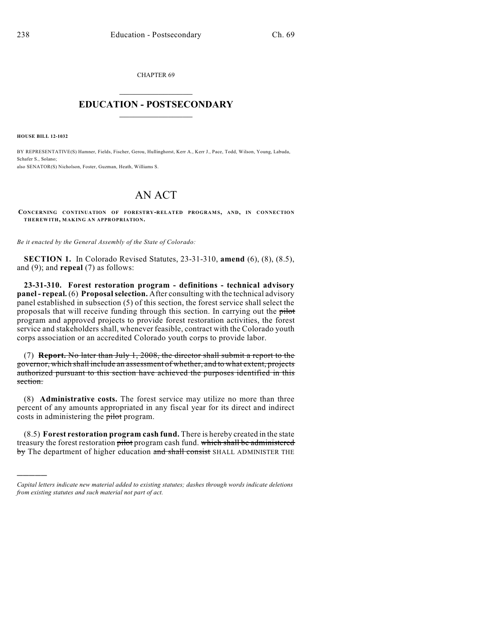CHAPTER 69  $\mathcal{L}_\text{max}$  . The set of the set of the set of the set of the set of the set of the set of the set of the set of the set of the set of the set of the set of the set of the set of the set of the set of the set of the set

## **EDUCATION - POSTSECONDARY**  $\frac{1}{2}$  ,  $\frac{1}{2}$  ,  $\frac{1}{2}$  ,  $\frac{1}{2}$  ,  $\frac{1}{2}$  ,  $\frac{1}{2}$  ,  $\frac{1}{2}$

**HOUSE BILL 12-1032**

)))))

BY REPRESENTATIVE(S) Hamner, Fields, Fischer, Gerou, Hullinghorst, Kerr A., Kerr J., Pace, Todd, Wilson, Young, Labuda, Schafer S., Solano; also SENATOR(S) Nicholson, Foster, Guzman, Heath, Williams S.

## AN ACT

**CONCERNING CONTINUATION OF FORESTRY-RELATED PROGRAMS, AND, IN CONNECTION THEREWITH, MAKING AN APPROPRIATION.**

*Be it enacted by the General Assembly of the State of Colorado:*

**SECTION 1.** In Colorado Revised Statutes, 23-31-310, **amend** (6), (8), (8.5), and (9); and **repeal** (7) as follows:

**23-31-310. Forest restoration program - definitions - technical advisory panel - repeal.** (6) **Proposalselection.** After consulting with the technical advisory panel established in subsection (5) of this section, the forest service shall select the proposals that will receive funding through this section. In carrying out the pilot program and approved projects to provide forest restoration activities, the forest service and stakeholders shall, whenever feasible, contract with the Colorado youth corps association or an accredited Colorado youth corps to provide labor.

(7) **Report.** No later than July 1, 2008, the director shall submit a report to the governor, which shall include an assessment of whether, and to what extent, projects authorized pursuant to this section have achieved the purposes identified in this section.

(8) **Administrative costs.** The forest service may utilize no more than three percent of any amounts appropriated in any fiscal year for its direct and indirect costs in administering the pilot program.

(8.5) **Forest restoration program cash fund.** There is hereby created in the state treasury the forest restoration pilot program cash fund. which shall be administered by The department of higher education and shall consist SHALL ADMINISTER THE

*Capital letters indicate new material added to existing statutes; dashes through words indicate deletions from existing statutes and such material not part of act.*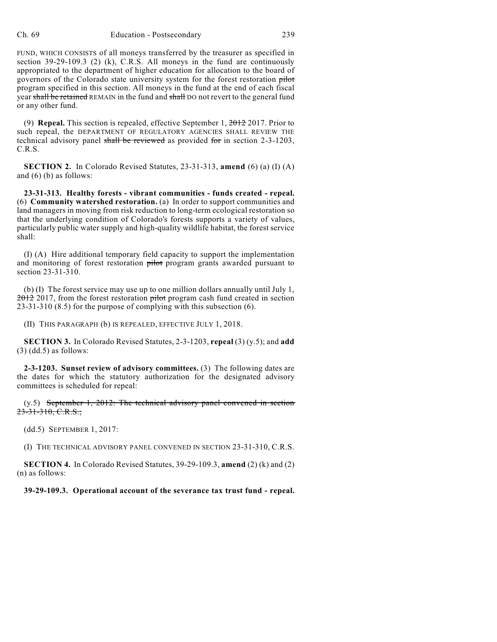FUND, WHICH CONSISTS of all moneys transferred by the treasurer as specified in section 39-29-109.3 (2) (k), C.R.S. All moneys in the fund are continuously appropriated to the department of higher education for allocation to the board of governors of the Colorado state university system for the forest restoration pilot program specified in this section. All moneys in the fund at the end of each fiscal year shall be retained REMAIN in the fund and shall DO not revert to the general fund or any other fund.

(9) **Repeal.** This section is repealed, effective September 1, 2012 2017. Prior to such repeal, the DEPARTMENT OF REGULATORY AGENCIES SHALL REVIEW THE technical advisory panel shall be reviewed as provided for in section 2-3-1203, C.R.S.

**SECTION 2.** In Colorado Revised Statutes, 23-31-313, **amend** (6) (a) (I) (A) and (6) (b) as follows:

**23-31-313. Healthy forests - vibrant communities - funds created - repeal.** (6) **Community watershed restoration.** (a) In order to support communities and land managers in moving from risk reduction to long-term ecological restoration so that the underlying condition of Colorado's forests supports a variety of values, particularly public water supply and high-quality wildlife habitat, the forest service shall:

(I) (A) Hire additional temporary field capacity to support the implementation and monitoring of forest restoration pilot program grants awarded pursuant to section 23-31-310.

(b) (I) The forest service may use up to one million dollars annually until July 1, 2012 2017, from the forest restoration pilot program cash fund created in section 23-31-310 (8.5) for the purpose of complying with this subsection (6).

(II) THIS PARAGRAPH (b) IS REPEALED, EFFECTIVE JULY 1, 2018.

**SECTION 3.** In Colorado Revised Statutes, 2-3-1203, **repeal** (3) (y.5); and **add**  $(3)$  (dd.5) as follows:

**2-3-1203. Sunset review of advisory committees.** (3) The following dates are the dates for which the statutory authorization for the designated advisory committees is scheduled for repeal:

(y.5) September 1, 2012: The technical advisory panel convened in section  $23-31-310$ , C.R.S.;

(dd.5) SEPTEMBER 1, 2017:

(I) THE TECHNICAL ADVISORY PANEL CONVENED IN SECTION 23-31-310, C.R.S.

**SECTION 4.** In Colorado Revised Statutes, 39-29-109.3, **amend** (2) (k) and (2) (n) as follows:

## **39-29-109.3. Operational account of the severance tax trust fund - repeal.**